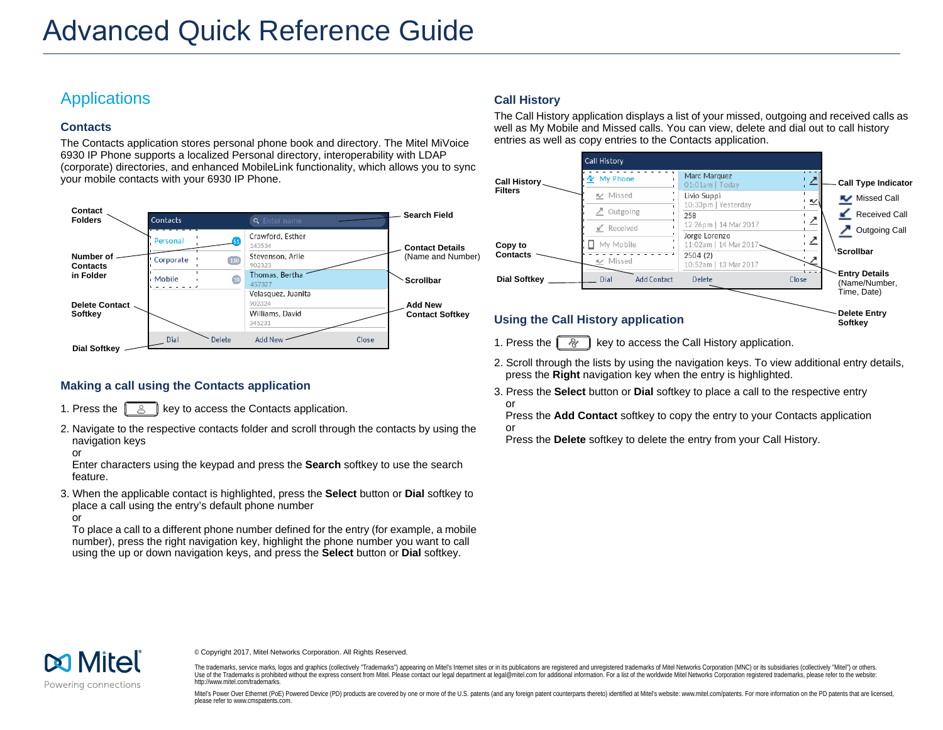# **Applications**

# **Contacts**

The Contacts application stores personal phone book and directory. The Mitel MiVoice 6930 IP Phone supports a localized Personal directory, interoperability with LDAP (corporate) directories, and enhanced MobileLink functionality, which allows you to sync your mobile contacts with your 6930 IP Phone.



# **Making a call using the Contacts application**

- 1. Press the  $\left[\begin{array}{c} 8 \end{array}\right]$  key to access the Contacts application.
- 2. Navigate to the respective contacts folder and scroll through the contacts by using the navigation keys
- or

Enter characters using the keypad and press the **Search** softkey to use the search feature.

3. When the applicable contact is highlighted, press the **Select** button or **Dial** softkey to place a call using the entry's default phone number or

To place a call to a different phone number defined for the entry (for example, a mobile number), press the right navigation key, highlight the phone number you want to call using the up or down navigation keys, and press the **Select** button or **Dial** softkey.

## **Call History**

The Call History application displays a list of your missed, outgoing and received calls as well as My Mobile and Missed calls. You can view, delete and dial out to call history entries as well as copy entries to the Contacts application.



- 1. Press the  $\left[\begin{array}{c|c} \mathbb{R} & \mathbb{R} \\ \mathbb{R} & \mathbb{R} \end{array}\right]$  key to access the Call History application.
- 2. Scroll through the lists by using the navigation keys. To view additional entry details, press the **Right** navigation key when the entry is highlighted.
- 3. Press the **Select** button or **Dial** softkey to place a call to the respective entry or

Press the **Add Contact** softkey to copy the entry to your Contacts application or

Press the **Delete** softkey to delete the entry from your Call History.



© Copyright 2017, Mitel Networks Corporation. All Rights Reserved.

The trademarks, service marks, logos and graphics (collectively "Trademarks") appearing on Mitel's Internet sites or in its publications are registered and unregistered trademarks of Mitel Networks Corporation (MNC) or its Use of the Trademarks is prohibited without the express consent from Mitel. Please contact our legal department at legal@mitel.com for additional information. For a list of the worldwide Mitel Networks Corporation register http://www.mitel.com/trademarks.

Mitel's Power Over Ethernet (PoE) Powered Device (PD) products are covered by one or more of the U.S. patents (and any foreign patent counterparts thereto) identified at Mitel's website: www.mitel.com/patents. For more inf please refer to www.cmspatents.com.